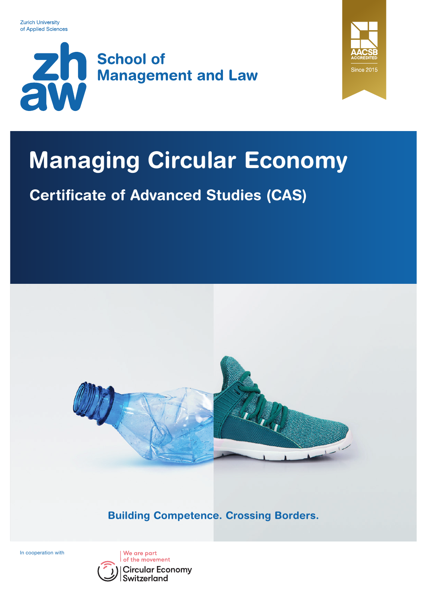



# Managing Circular Economy

## Certificate of Advanced Studies (CAS)



Building Competence. Crossing Borders.

In cooperation with

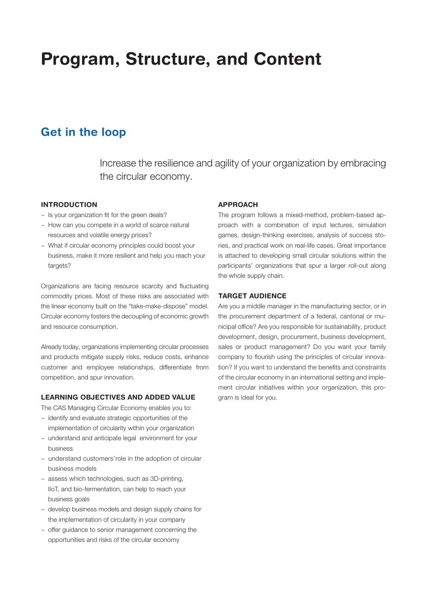## Program, Structure, and Content

### Get in the loop

Increase the resilience and agility of your organization by embracing the circular economy.

### INTRODUCTION

- − Is your organization fit for the green deals?
- − How can you compete in a world of scarce natural resources and volatile energy prices?
- − What if circular economy principles could boost your business, make it more resilient and help you reach your targets?

Organizations are facing resource scarcity and fluctuating commodity prices. Most of these risks are associated with the linear economy built on the "take-make-dispose" model. Circular economy fosters the decoupling of economic growth and resource consumption.

Already today, organizations implementing circular processes and products mitigate supply risks, reduce costs, enhance customer and employee relationships, differentiate from competition, and spur innovation.

### LEARNING OBJECTIVES AND ADDED VALUE

The CAS Managing Circular Economy enables you to:

- − identify and evaluate strategic opportunities of the implementation of circularity within your organization
- − understand and anticipate legal environment for your business
- − understand customers'role in the adoption of circular business models
- − assess which technologies, such as 3D-printing, IIoT, and bio-fermentation, can help to reach your business goals
- − develop business models and design supply chains for the implementation of circularity in your company
- − offer guidance to senior management concerning the opportunities and risks of the circular economy

### APPROACH

The program follows a mixed-method, problem-based approach with a combination of input lectures, simulation games, design-thinking exercises, analysis of success stories, and practical work on real-life cases. Great importance is attached to developing small circular solutions within the participants' organizations that spur a larger roll-out along the whole supply chain.

### TARGET AUDIENCE

Are you a middle manager in the manufacturing sector, or in the procurement department of a federal, cantonal or municipal office? Are you responsible for sustainability, product development, design, procurement, business development, sales or product management? Do you want your family company to flourish using the principles of circular innovation? If you want to understand the benefits and constraints of the circular economy in an international setting and implement circular initiatives within your organization, this program is ideal for you.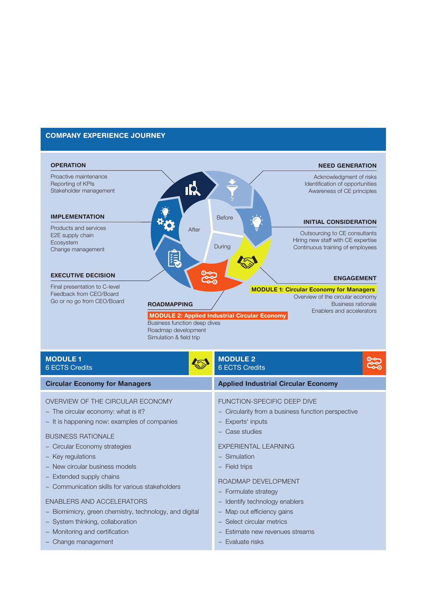### COMPANY EXPERIENCE JOURNEY



- − New circular business models
- − Extended supply chains
- − Communication skills for various stakeholders
- ENABLERS AND ACCELERATORS
- − Biomimicry, green chemistry, technology, and digital
- − System thinking, collaboration
- − Monitoring and certification
- − Change management

− Field trips

### ROADMAP DEVELOPMENT

- − Formulate strategy
- − Identify technology enablers
- − Map out efficiency gains
- − Select circular metrics
- − Estimate new revenues streams
- − Evaluate risks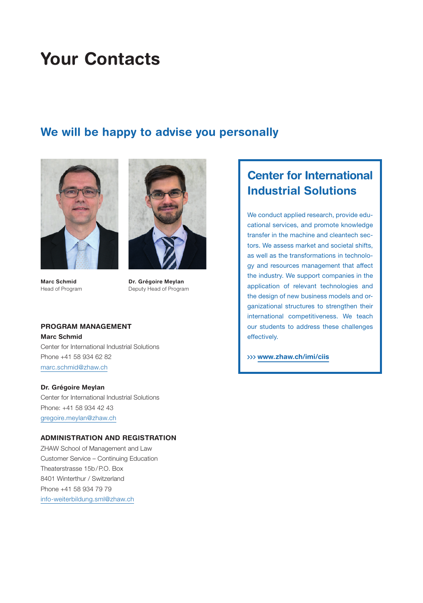## Your Contacts

### We will be happy to advise you personally



Marc Schmid Head of Program



Dr. Grégoire Meylan Deputy Head of Program

### PROGRAM MANAGEMENT Marc Schmid Center for International Industrial Solutions Phone +41 58 934 62 82 [marc.schmid@zhaw.ch](mailto:marc.schmid%40zhaw.ch?subject=)

Dr. Grégoire Meylan Center for International Industrial Solutions Phone: +41 58 934 42 43 [gregoire.meylan@zhaw.ch](mailto:gregoire.meylan%40zhaw.ch?subject=)

### ADMINISTRATION AND REGISTRATION

ZHAW School of Management and Law Customer Service – Continuing Education Theaterstrasse 15b/P.O. Box 8401 Winterthur / Switzerland Phone +41 58 934 79 79 [info-weiterbildung.sml@zhaw.ch](mailto:info-weiterbildung.sml%40zhaw.ch?subject=)

### Center for International Industrial Solutions

We conduct applied research, provide educational services, and promote knowledge transfer in the machine and cleantech sectors. We assess market and societal shifts, as well as the transformations in technology and resources management that affect the industry. We support companies in the application of relevant technologies and the design of new business models and organizational structures to strengthen their international competitiveness. We teach our students to address these challenges effectively.

[www.zhaw.ch/imi/ciis](https://www.zhaw.ch/de/sml/institute-zentren/imi/competence-centers-teams/center-for-international-industrial-solutions/)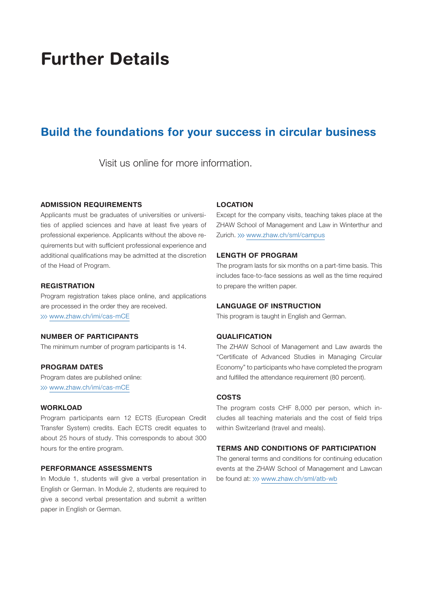## Further Details

### Build the foundations for your success in circular business

Visit us online for more information.

### ADMISSION REQUIREMENTS

Applicants must be graduates of universities or universities of applied sciences and have at least five years of professional experience. Applicants without the above requirements but with sufficient professional experience and additional qualifications may be admitted at the discretion of the Head of Program.

### **REGISTRATION**

Program registration takes place online, and applications are processed in the order they are received. >>> [www.zhaw.ch/imi/cas-mCE](https://www.zhaw.ch/imi/cas-mCE/)

### NUMBER OF PARTICIPANTS

The minimum number of program participants is 14.

### PROGRAM DATES

Program dates are published online: >>> [www.zhaw.ch/imi/cas-mCE](https://www.zhaw.ch/imi/cas-mCE/)

#### **WORKLOAD**

Program participants earn 12 ECTS (European Credit Transfer System) credits. Each ECTS credit equates to about 25 hours of study. This corresponds to about 300 hours for the entire program.

### PERFORMANCE ASSESSMENTS

In Module 1, students will give a verbal presentation in English or German. In Module 2, students are required to give a second verbal presentation and submit a written paper in English or German.

#### LOCATION

Except for the company visits, teaching takes place at the ZHAW School of Management and Law in Winterthur and Zurich. >>> [www.zhaw.ch/sml/campus](https://www.zhaw.ch/de/sml/ueber-uns/standorte-und-infrastruktur/)

### LENGTH OF PROGRAM

The program lasts for six months on a part-time basis. This includes face-to-face sessions as well as the time required to prepare the written paper.

### LANGUAGE OF INSTRUCTION

This program is taught in English and German.

### QUALIFICATION

The ZHAW School of Management and Law awards the "Certificate of Advanced Studies in Managing Circular Economy" to participants who have completed the program and fulfilled the attendance requirement (80 percent).

### **COSTS**

The program costs CHF 8,000 per person, which includes all teaching materials and the cost of field trips within Switzerland (travel and meals).

### TERMS AND CONDITIONS OF PARTICIPATION

The general terms and conditions for continuing education events at the ZHAW School of Management and Lawcan be found at: >>> [www.zhaw.ch/sml/atb-wb](https://www.zhaw.ch/storage/sml/weiterbildung/zhaw-sml-wb-teilnahmebedingungen-de.pdf)